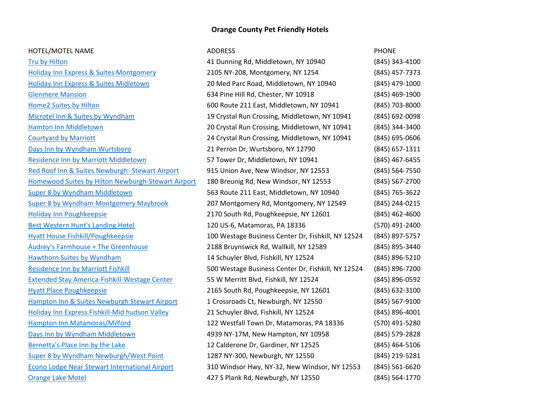# **Orange County Pet Friendly Hotels**

| HOTEL/MOTEL NAME                                      | <b>ADDRESS</b>                                     | <b>PHONE</b>       |
|-------------------------------------------------------|----------------------------------------------------|--------------------|
| <b>Tru by Hilton</b>                                  | 41 Dunning Rd, Middletown, NY 10940                | (845) 343-4100     |
| <b>Holiday Inn Express &amp; Suites Montgomery</b>    | 2105 NY-208, Montgomery, NY 1254                   | (845) 457-7373     |
| <b>Holiday Inn Express &amp; Suites Midletown</b>     | 20 Med Parc Road, Middletown, NY 10940             | (845) 479-1000     |
| <b>Glenmere Mansion</b>                               | 634 Pine Hill Rd, Chester, NY 10918                | (845) 469-1900     |
| Home2 Suites by Hilton                                | 600 Route 211 East, Middletown, NY 10941           | (845) 703-8000     |
| Microtel Inn & Suites by Wyndham                      | 19 Crystal Run Crossing, Middletown, NY 10941      | (845) 692-0098     |
| <b>Hamton Inn Middletown</b>                          | 20 Crystal Run Crossing, Middletown, NY 10941      | (845) 344-3400     |
| <b>Courtyard by Marriott</b>                          | 24 Crystal Run Crossing, Middletown, NY 10941      | (845) 695-0606     |
| Days Inn by Wyndham Wurtsboro                         | 21 Perron Dr, Wurtsboro, NY 12790                  | (845) 657-1311     |
| Residence Inn by Marriott Middletown                  | 57 Tower Dr, Middletown, NY 10941                  | (845) 467-6455     |
| Red Roof Inn & Suites Newburgh-Stewart Airport        | 915 Union Ave, New Windsor, NY 12553               | (845) 564-7550     |
| Homewood Suites by Hilton Newburgh-Stewart Airport    | 180 Breunig Rd, New Windsor, NY 12553              | (845) 567-2700     |
| <b>Super 8 by Wyndham Middletown</b>                  | 563 Route 211 East, Middletown, NY 10940           | (845) 765-3622     |
| <b>Super 8 by Wyndham Montgomery Maybrook</b>         | 207 Montgomery Rd, Montgomery, NY 12549            | (845) 244-0215     |
| <b>Holiday Inn Poughkeepsie</b>                       | 2170 South Rd, Poughkeepsie, NY 12601              | $(845)$ 462-4600   |
| <b>Best Western Hunt's Landing Hotel</b>              | 120 US-6, Matamoras, PA 18336                      | (570) 491-2400     |
| <b>Hyatt House Fishkill/Poughkeepsie</b>              | 100 Westage Business Center Dr, Fishkill, NY 12524 | (845) 897-5757     |
| <b>Audrey's Farmhouse + The Greenhouse</b>            | 2188 Bruynswick Rd, Wallkill, NY 12589             | (845) 895-3440     |
| Hawthorn Suites by Wyndham                            | 14 Schuyler Blvd, Fishkill, NY 12524               | (845) 896-5210     |
| <b>Residence Inn by Marriott Fishkill</b>             | 500 Westage Business Center Dr, Fishkill, NY 12524 | (845) 896-7200     |
| <b>Extended Stay America-Fishkill-Westage Center</b>  | 55 W Merritt Blvd, Fishkill, NY 12524              | (845) 896-0592     |
| <b>Hyatt Place Poughkeepsie</b>                       | 2165 South Rd, Poughkeepsie, NY 12601              | (845) 632-3100     |
| Hampton Inn & Suites Newburgh Stewart Airport         | 1 Crossroads Ct, Newburgh, NY 12550                | (845) 567-9100     |
| Holiday Inn Express Fishkill-Mid hudson Valley        | 21 Schuyler Blvd, Fishkill, NY 12524               | (845) 896-4001     |
| Hampton Inn Matamoras/Milford                         | 122 Westfall Town Dr, Matamoras, PA 18336          | (570) 491-5280     |
| Days Inn by Wyndham Middletown                        | 4939 NY-17M, New Hampton, NY 10958                 | (845) 579-2828     |
| Bernetta's Place Inn by the Lake                      | 12 Calderone Dr, Gardiner, NY 12525                | (845) 464-5106     |
| Super 8 by Wyndham Newburgh/West Point                | 1287 NY-300, Newburgh, NY 12550                    | (845) 219-5281     |
| <b>Econo Lodge Near Stewart International Airport</b> | 310 Windsor Hwy, NY-32, New Windsor, NY 12553      | $(845) 561 - 6620$ |
| <b>Orange Lake Motel</b>                              | 427 S Plank Rd, Newburgh, NY 12550                 | (845) 564-1770     |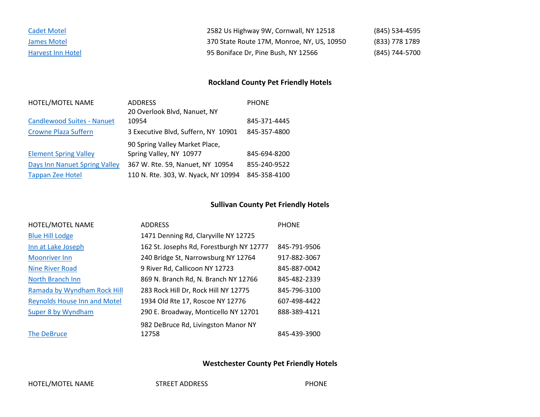| <b>Cadet Motel</b>       | 2582 Us Highway 9W, Cornwall, NY 12518     | (845) 534-4595 |
|--------------------------|--------------------------------------------|----------------|
| James Motel              | 370 State Route 17M, Monroe, NY, US, 10950 | (833) 778 1789 |
| <b>Harvest Inn Hotel</b> | 95 Boniface Dr, Pine Bush, NY 12566        | (845) 744-5700 |

# **Rockland County Pet Friendly Hotels**

| HOTEL/MOTEL NAME                  | <b>ADDRESS</b>                      | <b>PHONE</b> |
|-----------------------------------|-------------------------------------|--------------|
|                                   | 20 Overlook Blvd, Nanuet, NY        |              |
| <b>Candlewood Suites - Nanuet</b> | 10954                               | 845-371-4445 |
| <b>Crowne Plaza Suffern</b>       | 3 Executive Blvd, Suffern, NY 10901 | 845-357-4800 |
|                                   | 90 Spring Valley Market Place,      |              |
| <b>Element Spring Valley</b>      | Spring Valley, NY 10977             | 845-694-8200 |
| Days Inn Nanuet Spring Valley     | 367 W. Rte. 59, Nanuet, NY 10954    | 855-240-9522 |
| <b>Tappan Zee Hotel</b>           | 110 N. Rte. 303, W. Nyack, NY 10994 | 845-358-4100 |

## **Sullivan County Pet Friendly Hotels**

| HOTEL/MOTEL NAME                    | <b>ADDRESS</b>                           | <b>PHONE</b> |
|-------------------------------------|------------------------------------------|--------------|
| <b>Blue Hill Lodge</b>              | 1471 Denning Rd, Claryville NY 12725     |              |
| Inn at Lake Joseph                  | 162 St. Josephs Rd, Forestburgh NY 12777 | 845-791-9506 |
| <b>Moonriver Inn</b>                | 240 Bridge St, Narrowsburg NY 12764      | 917-882-3067 |
| Nine River Road                     | 9 River Rd, Callicoon NY 12723           | 845-887-0042 |
| North Branch Inn                    | 869 N. Branch Rd, N. Branch NY 12766     | 845-482-2339 |
| Ramada by Wyndham Rock Hill         | 283 Rock Hill Dr, Rock Hill NY 12775     | 845-796-3100 |
| <b>Reynolds House Inn and Motel</b> | 1934 Old Rte 17, Roscoe NY 12776         | 607-498-4422 |
| Super 8 by Wyndham                  | 290 E. Broadway, Monticello NY 12701     | 888-389-4121 |
|                                     | 982 DeBruce Rd, Livingston Manor NY      |              |
| The DeBruce                         | 12758                                    | 845-439-3900 |

### **Westchester County Pet Friendly Hotels**